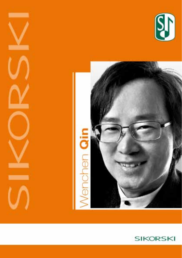



**Contract Contract** 

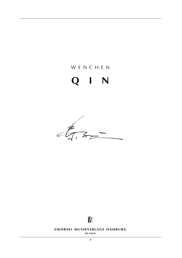## w e n c h e n

# **q i n**

 $47.52$ 



**SIKORSKI MUSIKVERLAGE HAMBURG** 

**sik 4/5643**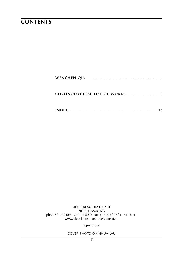### **contents**

| <b>CHRONOLOGICAL LIST OF WORKS.</b> 8 |  |
|---------------------------------------|--|
|                                       |  |

sikorski Musikverlage 20139 hamburg phone: (+ 49) (0)40 / 41 41 00-0 · fax: (+ 49) (0)40 / 41 41 00-41 www.sikorski.de · contact@sikorski.de

**2 j u ly 2019**

cover photo © Xinhua WU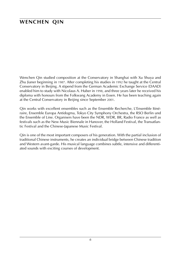### **wenchen qin**

Wenchen Qin studied composition at the Conservatory in Shanghai with Xu Shuya and Zhu Jianer beginning in 1987. After completing his studies in 1992 he taught at the Central Conservatory in Beijing. A stipend from the German Academic Exchange Service (DAAD) enabled him to study with Nicolaus A. Huber in 1998, and three years later he received his diploma with honours from the Folkwang Academy in Essen. He has been teaching again at the Central Conservatory in Beijing since September 2001.

Qin works with excellent ensembles such as the Ensemble Recherche, L'Ensemble Itinéraire, Ensemble Europa Antidogma, Tokyo City Symphony Orchestra, the RSO Berlin und the Ensemble of Line. Organisers have been the NDR, WDR, BR, Radio France as well as festivals such as the New Music Biennale in Hanover, the Holland Festival, the Transatlantic Festival and the Chinese-Japanese Music Festival.

Qin is one of the most important composers of his generation. With the partial inclusion of traditional Chinese instruments, he creates an individual bridge between Chinese tradition and Western avant-garde. His musical language combines subtle, intensive and differentiated sounds with exciting courses of development.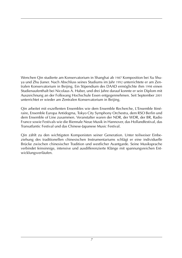Wenchen Qin studierte am Konservatorium in Shanghai ab 1987 Komposition bei Xu Shuya und Zhu Jianer. Nach Abschluss seines Studiums im Jahr 1992 unterrichtete er am Zentralen Konservatorium in Beijing. Ein Stipendium des DAAD ermöglichte ihm 1998 einen Studienaufenthalt bei Nicolaus A. Huber, und drei Jahre darauf konnte er sein Diplom mit Auszeichnung an der Folkwang Hochschule Essen entgegennehmen. Seit September 2001 unterrichtet er wieder am Zentralen Konservatorium in Beijing.

Qin arbeitet mit exzellenten Ensembles wie dem Ensemble Recherche, L'Ensemble Itinéraire, Ensemble Europa Antidogma, Tokyo City Symphony Orchestra, dem RSO Berlin und dem Ensemble of Line zusammen. Veranstalter waren der NDR, der WDR, der BR, Radio France sowie Festivals wie die Biennale Neue Musik in Hannover, das Hollandfestival, das Transatlantic Festival und das Chinese-Japanese Music Festival.

Qin zählt zu den wichtigsten Komponisten seiner Generation. Unter teilweiser Einbeziehung des traditionellen chinesischen Instrumentariums schlägt er eine individuelle Brücke zwischen chinesischer Tradition und westlicher Avantgarde. Seine Musiksprache verbindet feinsinnige, intensive und ausdifferenzierte Klänge mit spannungsreichen Entwicklungsverläufen.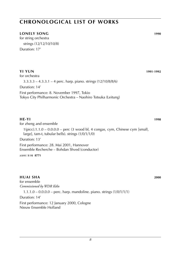#### **lonely song 1990**

for string orchestra strings (12/12/10/10/8) Duration: 17'

#### **yi yun 1991**-**1992**

for orchestra

3.3.3.3 – 4.3.3.1 – 4 perc. harp. piano. strings (12/10/8/8/6)

Duration: 14'

First performance: 8. November 1997, Tokio Tokyo City Philharmonic Orchestra – Naohiro Totsuka (Leitung)

#### **he-yi 1998**

for zheng and ensemble

1(picc).1.1.0 – 0.0.0.0 – perc (3 wood bl, 4 congas, cym, Chinese cym [small, large], tam-t, tubular bells). strings (1/0/1/1/0)

Duration: 13'

First performance: 28. Mai 2001, Hannover Ensemble Recherche – Bohdan Shved (conductor)

*score:* **s i k 8771**

#### **huai sha 2000**

for ensemble *Commissioned by WDR Köln* 1.1.1.0 – 0.0.0.0 – perc. harp. mandoline. piano. strings (1/0/1/1/1) Duration: 14'

First performance: 12 January 2000, Cologne Nieuw Ensemble Holland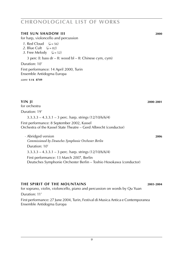#### **the sun shadow iii 2000**

for harp, violoncello and percussion

- *1*. Red Cloud  $(d = 56)$
- 2. Blue Cult  $(d = 82)$
- *3*. Free Melody  $(J = 52)$

3 perc (I: bass dr – II: wood bl – II: Chinese cym, cym)

#### Duration: 10'

First performance: 14 April 2000, Turin Ensemble Antidogma Europa

*score:* **s i k 8749**

for orchestra

Duration: 19'

 $3.3.3.3 - 4.3.3.1 - 3$  perc. harp. strings  $(12/10/6/6/4)$ 

First performance: 8 September 2002, Kassel Orchestra of the Kassel State Theatre – Gerd Albrecht (conductor)

· Abridged version **2006** *Commissioned by Deutsches Symphonie Orchester Berlin* Duration: 10' 3.3.3.3 – 4.3.3.1 – 3 perc. harp. strings (12/10/6/6/4) First performance: 13 March 2007, Berlin Deutsches Symphonie Orchester Berlin – Toshio Hosokawa (conductor)

#### **the spirit of the mountains 2003**-**2004**

for soprano, violin, violoncello, piano and percussion on words by Qu Yuan Duration: 11' First performance: 27 June 2004, Turin, Festival di Musica Antica e Contemporanea Ensemble Antidogma Europa

**yin ji 2000**-**2001**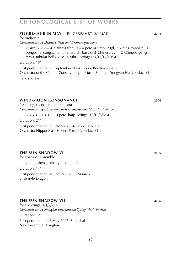#### **Pilgrimage in May** (Pilgerfahrt im mai) **2004**

for orchestra *Commissioned by Deutsche Welle and Beethovenfest Bonn*

 $2(picc).2.2.2 - 4.2.3(bass trbn).0 - 4 perc (4 timp, 2 tgl, 2 whips, wood bl, 4$ bongos, 3 congas, tamb, snare dr, bass dr,3 Chinese cym, 2 Chinese gongs, tam-t, tubular bells, 2 bells, vibr – strings (14/14/12/10/6)

#### Duration: 15'

First performance: 23 September 2004, Bonn, Beethovenhalle Orchestra of the Central Conservatory of Music Beijing – Yongyan Hu (conductor)

*score:* **s i k 8861**

#### **wind-moon consonance 2004**

for sheng, recorder and orchestra *Commissioned by Chinese-Japanese Contemporary Music Festival* 2004

 $3.3.3.3 - 4.3.3.1 - 4$  perc. harp. strings  $(12/10/8/8/6)$ 

Duration: 21'

First performance: 3 October 2004, Tokio, Kioi Hall Orchestra Nipponica – Honna Tetsuji (conductor)

#### **the sun shadow vi 2005**

for chamber ensemble

zheng, sheng, pipa, yangqin, perc

Duration: 14'

First performance: 10 January 2005, Munich Ensemble Dragon

#### **the sun shadow viI 2005**

for six strings  $(1/1/2/2/0)$ *Commissioned by Shanghai International Spring Music Festival*

Duration: 12'

First performance: 8 May 2005, Shanghai New Ensemble Shanghai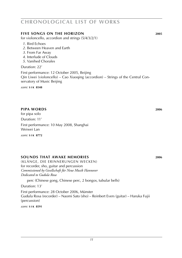#### *11*

### **chronological list of works**

#### **five songs on the horizon 2005**

for violoncello, accordion and strings (5/4/3/2/1)

- *1*. Bird Echoes
- *2*. Between Heaven and Earth
- *3*. From Far Away
- *4*. Interlude of Clouds
- *5*. Vanihed Chorales

#### Duration: 22'

First performance: 12 October 2005, Beijing Qin Liwei (violoncello) – Cao Xiaoqing (accordion) – Strings of the Central Conservatory of Music Beijing

*score:* **s i k 8548**

#### **Pipa words 2006**

for pipa solo Duration: 11' First performance: 10 May 2008, Shanghai Weiwei Lan *score:* **s i k 8772**

#### **sounds that awake memories 2006**

(klänge, die erinnerungen wecken) for recorder, sho, guitar and percussion *Commissioned by Gesellschaft für Neue Musik Hannover Dedicated to Gudula Rosa*

perc (Chinese gong, Chinese perc, 2 bongos, tubular bells)

Duration: 13'

First performance: 28 October 2006, Münster Gudula Rosa (recorder) – Naomi Sato (sho) – Reinbert Evers (guitar) – Haruka Fujii (percussion)

*score:* **s i k 8591**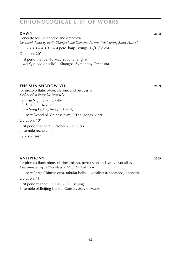#### **diagrams DAWN** 2008

Concerto for violoncello and orchestra *Cocommissioned by Radio Shanghai and Shanghai International Spring Music Festival*

 $3.3.3.3 - 4.3.3.1 - 4$  perc. harp. strings  $(12/10/8/8/6)$ 

Duration: 20'

First performance: 16 May 2008, Shanghai Liwei Qin (violoncello) – Shanghai Symphony Orchestra

#### **the sun shadow viII 2009**

for piccolo flute, oboe, clarinet and percussion *Dedicated to Ensemble Recherche*

- *1*. The Night Sky  $(l = 60)$
- 2. Suo Na  $({\bf J} = 120)$
- *3*. A Song Fading Away  $(J = 46)$

perc (wood bl, Chinese cym, 2 Thai gongs, vibr)

Duration: 10'

First performance: 9 October 2009, Graz ensemble recherche

*score:* **s i k 8687**

#### **antiphony 2009**

for piccolo flute, oboe, clarinet, piano, percussion and twelve vocalists *Commissioned by Beijing Modern Music Festival* 2009

perc (large Chinese cym, tubular bells) – vocalists (6 sopranos, 6 tenors)

Duration: 11'

First performance: 23 May 2009, Beijing Ensemble of Beijing Central Conservatory of Music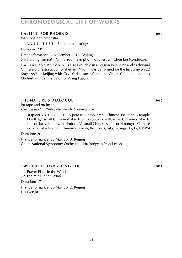#### **calling for phoenix 2010**

for suona and orchestra

3.3.3.3 – 4.3.3.1 – 5 perc. harp. strings

Duration: 23'

First performance: 2 November 2010, Beijing

Shi Haibing (suona) – China Youth Symphony Orchestra – Chen Lin (conductor)

Calling for Phoenix is also available in a version for suo na and traditional Chinese orchestra accomplished in 1996. It was performed for the first time on 22 May 1997 in Beijing with Guo Yazhi (suo na) and the China Youth Nationalities Orchestra under the baton of Wang Fujian.

#### **the nature's dialogue 2010**

for tape and orchestra *Commissioned by Beijing Modern Music Festival* 2010

 $3(3picc), 3.3.3 - 4.3.3.1 - 5$  perc ( $\vert$ : 4 timp, small Chinese shake dr, 3 temple bl – II: tgl, small Chinese shake dr, 3 congas, vibr – III: small Chinese shake dr, side dr, bass dr, bells, marimba – IV: small Chinese shake dr, 4 bongos, Chinese cym, tam-t – V: small Chinese shake dr, flex, bells, vibr). strings (12/12/10/8/6)

Duration: 20'

First performance: 22 May 2010, Beijing

China National Symphony Orchestra – Hu Yongyan (conductor)

#### **two pieces for zheng solo 2011**

- *1*. Prayer Flags in the Wind
- *2*. Psalming in the Wind

Duration: 17'

First performance: 20 May 2012, Beijing Liu Wenjia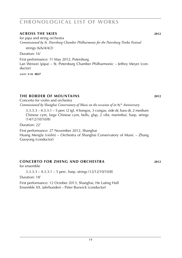#### **across the skies 2012**

for pipa and string orchestra *Commissioned by St. Petersburg Chamber Philharmonic for the Petersburg Troika Festival*

strings (6/6/4/4/2)

Duration: 16'

First performance: 11 May 2012, Petersburg Lan Weiwei (pipa) – St. Petersburg Chamber Philharmonic – Jeffrey Meyer (conductor)

*score:* **s i k 8837**

#### **the border of mountains 2012**

Concerto for violin and orchestra *Commissioned by Shanghai Conservatory of Music on the occasion of its* 85th *Anniversary*

3.3.3.3 – 4.3.3.1 – 5 perc (2 tgl, 4 bongos, 3 congas, side dr, bass dr, 2 medium Chinese cym, large Chinese cym, bells, glsp, 2 vibr, marimba). harp. strings (14/12/10/10/8)

Duration: 22'

First performance: 27 November 2012, Shanghai Huang Mengla (violin) – Orchestra of Shanghai Conservatory of Music – Zhang Guoyong (conductor)

#### **concerto for zheng and orchestra 2012**

#### for ensemble

 $3.3.3 \cdot 3 - 4.3.3 \cdot 1 - 5$  perc. harp. strings  $(12/12/10/10/8)$ 

Duration: 18'

First performance: 12 October 2013, Shanghai, He Luting Hall Ensemble XX. Jahrhundert – Peter Burwick (conductor)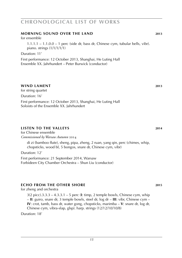#### **morning sound over the land 2013**

for ensemble

 $1.1.1.1 - 1.1.0.0 - 1$  perc (side dr, bass dr, Chinese cym, tubular bells, vibr). piano. strings (1/1/1/1/1)

Duration: 11'

First performance: 12 October 2013, Shanghai, He Luting Hall Ensemble XX. Jahrhundert – Peter Burwick (conductor)

#### **wind lament 2013**

for string quartet Duration: 16'

First performance: 12 October 2013, Shanghai, He Luting Hall Soloists of the Ensemble XX. Jahrhundert

#### **listen to the valleys 2014**

for Chinese ensemble *Commissioned by Warsaw Autumn* 2014

> di zi (bamboo flute), sheng, pipa, zheng, 2 ruan, yang qin, perc (chimes, whip, chopsticks, wood bl, 5 bongos, snare dr, Chinese cym, vibr)

Duration: 12'

First performance: 21 September 2014, Warsaw Forbideen City Chamber Orchestra – Shun Liu (conductor)

### **echo from the other shore 2015**

for zheng and orchestra

3(2 picc).3.3.3 – 4.3.3.1 – 5 perc (**I**: timp, 2 temple bowls, Chinese cym, whip – **II**: guiro, snare dr, 3 temple bowls, steel dr, log dr – **III**: vibr, Chinese cym – **IV**: crot, tamb, bass dr, water gong, chopsticks, marimba – **V**: snare dr, log dr, Chinese cym, vibra-slap, glsp). harp. strings (12/12/10/10/8)

Duration: 18'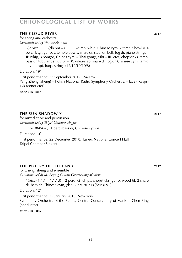#### **the cloud river 2017**

for sheng and orchestra *Commissioned by Warsaw Autumn*

> 3(2 picc).3.3.3(db bn) – 4.3.3.1 – timp (whip, Chinese cym, 2 temple bowls). 4 perc (**I**: tgl, guiro, 2 temple bowls, snare dr, steel dr, bell, log dr, piano strings – **II**: whip, 3 bongos, Chines cym, 4 Thai gongs, vibr – **III**: crot, chopsticks, tamb, bass dr, tubular bells, vibr – **IV**: vibra-slap, snare dr, log dr, Chinese cym, tam-t, anvil, glsp). harp. strings (12/12/10/10/8)

Duration: 19'

First performance: 23 September 2017, Warsaw Yang Zheng (sheng) – Polish National Radio Symphony Orchestra – Jacek Kaspszyk (conductor)

*score:* **s i k 8887**

#### **THE SUN SHADOW X** 2017

for mixed choir and percussion *Commissioned by Taipei Chamber Singers*

choir (8/8/6/8). 1 perc (bass dr, Chinese cymb)

Duration: 10'

First performance: 22 December 2018, Taipei, National Concert Hall Taipei Chamber Singers

#### **the poetry of the land 2017**

for zheng, sheng and ensemble *Commissioned by the Beijing Central Conservatory of Music*

 $1(picc).1.1.1 - 1.1.1.0 - 2 perc$  (2 whips, chopsticks, guiro, wood bl, 2 snare dr, bass dr, Chinese cym, glsp, vibr). strings (5/4/3/2/1)

Duration: 12'

First performance: 27 January 2018, New York Symphony Orchestra of the Beijing Central Conservatory of Music – Chen Bing (conductor)

*score:* **s i k 8886**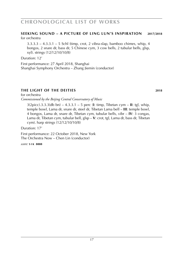#### **seeking sound – a picture of ling lun's inspiration 2017/2018** for orchestra

3.3.3.3 – 4.3.3.1 – 5 Schl (timp, crot, 2 vibra-slap, bamboo chimes, whip, 4 bongos, 2 snare dr, bass dr, 5 Chinese cym, 3 cow bells, 2 tubular bells, glsp, xyl). strings (12/12/10/10/8)

Duration: 12'

First performance: 27 April 2018, Shanghai Shanghai Symphony Orchestra – Zhang Jiemin (conductor)

#### **the light of the deities 2018** for orchestra

*Commissioned by the Beijing Central Conservatory of Music*

3(2picc).3.3.3(db bn) – 4.3.3.1 – 5 perc (**I**: timp, Tibetan cym – **II**: tgl, whip, temple bowl, Lama dr, snare dr, steel dr, Tibetan Lama bell – **III**: temple bowl, 4 bongos, Lama dr, snare dr, Tibetan cym, tubular bells, vibr – **IV**: 3 congas, Lama dr, Tibetan cym, tubular bell, glsp – **V**: crot, tgl, Lama dr, bass dr, Tibetan cym). harp strings (12/12/10/10/8)

Duration: 17'

First performance: 22 October 2018, New York The Orchestra Now – Chen Lin (conductor)

*score:* **s i k 8888**